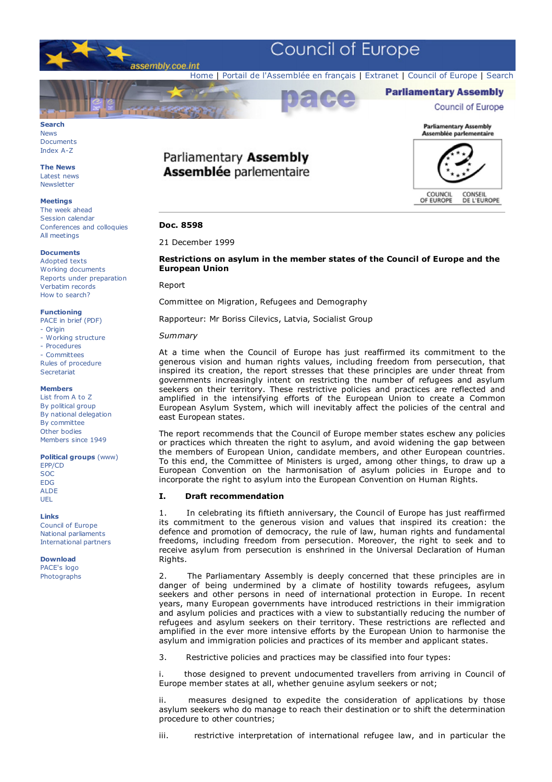



Documents Index A-Z

**The News** Latest news **Newsletter** 

#### **Meetings**

The week ahead Session calendar Conferences and colloquies All meetings

#### **Documents**

Adopted texts Working documents Reports under preparation Verbatim records How to search?

#### **Functioning**

PACE in brief (PDF) - Origin

- Working structure
- Procedures
- Committees

Rules of procedure **Secretariat** 

#### **Members**

List from A to Z By political group By national delegation By committee Other bodies Members since 1949

**Political groups** (www)

EPP/CD SOC EDG ALDE UEL

#### **Links**

Council of Europe National parliaments International partners

**Download** PACE's logo Photographs

# Parliamentary Assembly **Assemblée parlementaire**



# **Doc. 8598**

# 21 December 1999

# **Restrictions on asylum in the member states of the Council of Europe and the European Union**

 $707$ 

Report

Committee on Migration, Refugees and Demography

Rapporteur: Mr Boriss Cilevics, Latvia, Socialist Group

## *Summary*

At a time when the Council of Europe has just reaffirmed its commitment to the generous vision and human rights values, including freedom from persecution, that inspired its creation, the report stresses that these principles are under threat from governments increasingly intent on restricting the number of refugees and asylum seekers on their territory. These restrictive policies and practices are reflected and amplified in the intensifying efforts of the European Union to create a Common European Asylum System, which will inevitably affect the policies of the central and east European states.

The report recommends that the Council of Europe member states eschew any policies or practices which threaten the right to asylum, and avoid widening the gap between the members of European Union, candidate members, and other European countries. To this end, the Committee of Ministers is urged, among other things, to draw up a European Convention on the harmonisation of asylum policies in Europe and to incorporate the right to asylum into the European Convention on Human Rights.

# **I. Draft recommendation**

1. In celebrating its fiftieth anniversary, the Council of Europe has just reaffirmed its commitment to the generous vision and values that inspired its creation: the defence and promotion of democracy, the rule of law, human rights and fundamental freedoms, including freedom from persecution. Moreover, the right to seek and to receive asylum from persecution is enshrined in the Universal Declaration of Human Rights.

2. The Parliamentary Assembly is deeply concerned that these principles are in danger of being undermined by a climate of hostility towards refugees, asylum seekers and other persons in need of international protection in Europe. In recent years, many European governments have introduced restrictions in their immigration and asylum policies and practices with a view to substantially reducing the number of refugees and asylum seekers on their territory. These restrictions are reflected and amplified in the ever more intensive efforts by the European Union to harmonise the asylum and immigration policies and practices of its member and applicant states.

3. Restrictive policies and practices may be classified into four types:

i. those designed to prevent undocumented travellers from arriving in Council of Europe member states at all, whether genuine asylum seekers or not;

measures designed to expedite the consideration of applications by those asylum seekers who do manage to reach their destination or to shift the determination procedure to other countries;

iii. restrictive interpretation of international refugee law, and in particular the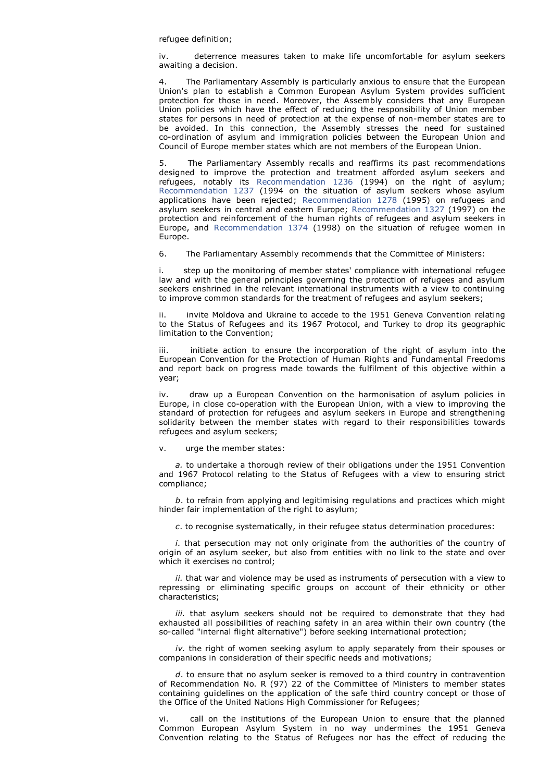#### refugee definition;

iv. deterrence measures taken to make life uncomfortable for asylum seekers awaiting a decision.

The Parliamentary Assembly is particularly anxious to ensure that the European Union's plan to establish a Common European Asylum System provides sufficient protection for those in need. Moreover, the Assembly considers that any European Union policies which have the effect of reducing the responsibility of Union member states for persons in need of protection at the expense of non-member states are to be avoided. In this connection, the Assembly stresses the need for sustained co-ordination of asylum and immigration policies between the European Union and Council of Europe member states which are not members of the European Union.

5. The Parliamentary Assembly recalls and reaffirms its past recommendations designed to improve the protection and treatment afforded asylum seekers and refugees, notably its Recommendation 1236 (1994) on the right of asylum; Recommendation 1237 (1994 on the situation of asylum seekers whose asylum applications have been rejected; Recommendation 1278 (1995) on refugees and asylum seekers in central and eastern Europe; Recommendation 1327 (1997) on the protection and reinforcement of the human rights of refugees and asylum seekers in Europe, and Recommendation 1374 (1998) on the situation of refugee women in Europe.

6. The Parliamentary Assembly recommends that the Committee of Ministers:

step up the monitoring of member states' compliance with international refugee law and with the general principles governing the protection of refugees and asylum seekers enshrined in the relevant international instruments with a view to continuing to improve common standards for the treatment of refugees and asylum seekers;

invite Moldova and Ukraine to accede to the 1951 Geneva Convention relating to the Status of Refugees and its 1967 Protocol, and Turkey to drop its geographic limitation to the Convention;

iii. initiate action to ensure the incorporation of the right of asylum into the European Convention for the Protection of Human Rights and Fundamental Freedoms and report back on progress made towards the fulfilment of this objective within a year;

iv. draw up a European Convention on the harmonisation of asylum policies in Europe, in close co-operation with the European Union, with a view to improving the standard of protection for refugees and asylum seekers in Europe and strengthening solidarity between the member states with regard to their responsibilities towards refugees and asylum seekers;

#### v. urge the member states:

 *a.* to undertake a thorough review of their obligations under the 1951 Convention and 1967 Protocol relating to the Status of Refugees with a view to ensuring strict compliance;

 *b*. to refrain from applying and legitimising regulations and practices which might hinder fair implementation of the right to asylum;

*c*. to recognise systematically, in their refugee status determination procedures:

 *i.* that persecution may not only originate from the authorities of the country of origin of an asylum seeker, but also from entities with no link to the state and over which it exercises no control;

 *ii.* that war and violence may be used as instruments of persecution with a view to repressing or eliminating specific groups on account of their ethnicity or other characteristics;

iii. that asylum seekers should not be required to demonstrate that they had exhausted all possibilities of reaching safety in an area within their own country (the so-called "internal flight alternative") before seeking international protection;

 *iv.* the right of women seeking asylum to apply separately from their spouses or companions in consideration of their specific needs and motivations;

 *d*. to ensure that no asylum seeker is removed to a third country in contravention of Recommendation No. R (97) 22 of the Committee of Ministers to member states containing guidelines on the application of the safe third country concept or those of the Office of the United Nations High Commissioner for Refugees;

call on the institutions of the European Union to ensure that the planned Common European Asylum System in no way undermines the 1951 Geneva Convention relating to the Status of Refugees nor has the effect of reducing the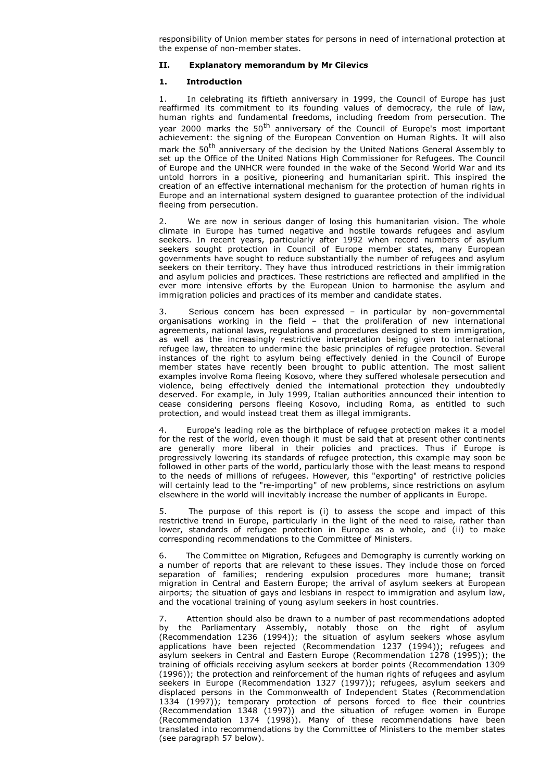responsibility of Union member states for persons in need of international protection at the expense of non-member states.

# **II. Explanatory memorandum by Mr Cilevics**

# **1. Introduction**

1. In celebrating its fiftieth anniversary in 1999, the Council of Europe has just reaffirmed its commitment to its founding values of democracy, the rule of law, human rights and fundamental freedoms, including freedom from persecution. The year 2000 marks the 50<sup>th</sup> anniversary of the Council of Europe's most important achievement: the signing of the European Convention on Human Rights. It will also mark the 50<sup>th</sup> anniversary of the decision by the United Nations General Assembly to set up the Office of the United Nations High Commissioner for Refugees. The Council of Europe and the UNHCR were founded in the wake of the Second World War and its untold horrors in a positive, pioneering and humanitarian spirit. This inspired the creation of an effective international mechanism for the protection of human rights in Europe and an international system designed to guarantee protection of the individual fleeing from persecution.

We are now in serious danger of losing this humanitarian vision. The whole climate in Europe has turned negative and hostile towards refugees and asylum seekers. In recent years, particularly after 1992 when record numbers of asylum seekers sought protection in Council of Europe member states, many European governments have sought to reduce substantially the number of refugees and asylum seekers on their territory. They have thus introduced restrictions in their immigration and asylum policies and practices. These restrictions are reflected and amplified in the ever more intensive efforts by the European Union to harmonise the asylum and immigration policies and practices of its member and candidate states.

3. Serious concern has been expressed – in particular by non-governmental organisations working in the field – that the proliferation of new international agreements, national laws, regulations and procedures designed to stem immigration, as well as the increasingly restrictive interpretation being given to international refugee law, threaten to undermine the basic principles of refugee protection. Several instances of the right to asylum being effectively denied in the Council of Europe member states have recently been brought to public attention. The most salient examples involve Roma fleeing Kosovo, where they suffered wholesale persecution and violence, being effectively denied the international protection they undoubtedly deserved. For example, in July 1999, Italian authorities announced their intention to cease considering persons fleeing Kosovo, including Roma, as entitled to such protection, and would instead treat them as illegal immigrants.

4. Europe's leading role as the birthplace of refugee protection makes it a model for the rest of the world, even though it must be said that at present other continents are generally more liberal in their policies and practices. Thus if Europe is progressively lowering its standards of refugee protection, this example may soon be followed in other parts of the world, particularly those with the least means to respond to the needs of millions of refugees. However, this "exporting" of restrictive policies will certainly lead to the "re-importing" of new problems, since restrictions on asylum elsewhere in the world will inevitably increase the number of applicants in Europe.

5. The purpose of this report is (i) to assess the scope and impact of this restrictive trend in Europe, particularly in the light of the need to raise, rather than lower, standards of refugee protection in Europe as a whole, and (ii) to make corresponding recommendations to the Committee of Ministers.

6. The Committee on Migration, Refugees and Demography is currently working on a number of reports that are relevant to these issues. They include those on forced separation of families; rendering expulsion procedures more humane; transit migration in Central and Eastern Europe; the arrival of asylum seekers at European airports; the situation of gays and lesbians in respect to immigration and asylum law, and the vocational training of young asylum seekers in host countries.

Attention should also be drawn to a number of past recommendations adopted by the Parliamentary Assembly, notably those on the right of asylum (Recommendation 1236 (1994)); the situation of asylum seekers whose asylum applications have been rejected (Recommendation 1237 (1994)); refugees and asylum seekers in Central and Eastern Europe (Recommendation 1278 (1995)); the training of officials receiving asylum seekers at border points (Recommendation 1309 (1996)); the protection and reinforcement of the human rights of refugees and asylum seekers in Europe (Recommendation 1327 (1997)); refugees, asylum seekers and displaced persons in the Commonwealth of Independent States (Recommendation 1334 (1997)); temporary protection of persons forced to flee their countries (Recommendation 1348 (1997)) and the situation of refugee women in Europe (Recommendation 1374 (1998)). Many of these recommendations have been translated into recommendations by the Committee of Ministers to the member states (see paragraph 57 below).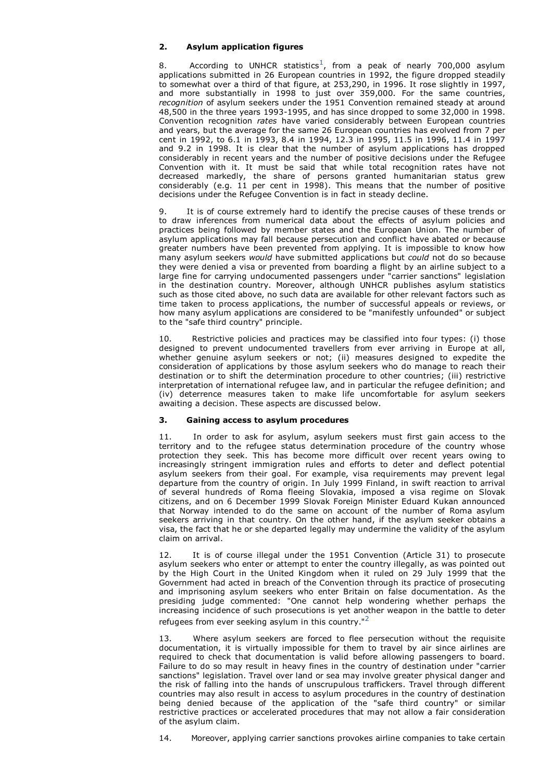# **2. Asylum application figures**

8. According to UNHCR statistics<sup>1</sup>, from a peak of nearly 700,000 asylum applications submitted in 26 European countries in 1992, the figure dropped steadily to somewhat over a third of that figure, at 253,290, in 1996. It rose slightly in 1997, and more substantially in 1998 to just over 359,000. For the same countries, *recognition* of asylum seekers under the 1951 Convention remained steady at around 48,500 in the three years 1993-1995, and has since dropped to some 32,000 in 1998. Convention recognition *rates* have varied considerably between European countries and years, but the average for the same 26 European countries has evolved from 7 per cent in 1992, to 6.1 in 1993, 8.4 in 1994, 12.3 in 1995, 11.5 in 1996, 11.4 in 1997 and 9.2 in 1998. It is clear that the number of asylum applications has dropped considerably in recent years and the number of positive decisions under the Refugee Convention with it. It must be said that while total recognition rates have not decreased markedly, the share of persons granted humanitarian status grew considerably (e.g. 11 per cent in 1998). This means that the number of positive decisions under the Refugee Convention is in fact in steady decline.

9. It is of course extremely hard to identify the precise causes of these trends or to draw inferences from numerical data about the effects of asylum policies and practices being followed by member states and the European Union. The number of asylum applications may fall because persecution and conflict have abated or because greater numbers have been prevented from applying. It is impossible to know how many asylum seekers *would* have submitted applications but *could* not do so because they were denied a visa or prevented from boarding a flight by an airline subject to a large fine for carrying undocumented passengers under "carrier sanctions" legislation in the destination country. Moreover, although UNHCR publishes asylum statistics such as those cited above, no such data are available for other relevant factors such as time taken to process applications, the number of successful appeals or reviews, or how many asylum applications are considered to be "manifestly unfounded" or subject to the "safe third country" principle.

10. Restrictive policies and practices may be classified into four types: (i) those designed to prevent undocumented travellers from ever arriving in Europe at all, whether genuine asylum seekers or not; (ii) measures designed to expedite the consideration of applications by those asylum seekers who do manage to reach their destination or to shift the determination procedure to other countries; (iii) restrictive interpretation of international refugee law, and in particular the refugee definition; and (iv) deterrence measures taken to make life uncomfortable for asylum seekers awaiting a decision. These aspects are discussed below.

# **3. Gaining access to asylum procedures**

11. In order to ask for asylum, asylum seekers must first gain access to the territory and to the refugee status determination procedure of the country whose protection they seek. This has become more difficult over recent years owing to increasingly stringent immigration rules and efforts to deter and deflect potential asylum seekers from their goal. For example, visa requirements may prevent legal departure from the country of origin. In July 1999 Finland, in swift reaction to arrival of several hundreds of Roma fleeing Slovakia, imposed a visa regime on Slovak citizens, and on 6 December 1999 Slovak Foreign Minister Eduard Kukan announced that Norway intended to do the same on account of the number of Roma asylum seekers arriving in that country. On the other hand, if the asylum seeker obtains a visa, the fact that he or she departed legally may undermine the validity of the asylum claim on arrival.

12. It is of course illegal under the 1951 Convention (Article 31) to prosecute asylum seekers who enter or attempt to enter the country illegally, as was pointed out by the High Court in the United Kingdom when it ruled on 29 July 1999 that the Government had acted in breach of the Convention through its practice of prosecuting and imprisoning asylum seekers who enter Britain on false documentation. As the presiding judge commented: "One cannot help wondering whether perhaps the increasing incidence of such prosecutions is yet another weapon in the battle to deter refugees from ever seeking asylum in this country."<sup>2</sup>

Where asylum seekers are forced to flee persecution without the requisite documentation, it is virtually impossible for them to travel by air since airlines are required to check that documentation is valid before allowing passengers to board. Failure to do so may result in heavy fines in the country of destination under "carrier sanctions" legislation. Travel over land or sea may involve greater physical danger and the risk of falling into the hands of unscrupulous traffickers. Travel through different countries may also result in access to asylum procedures in the country of destination being denied because of the application of the "safe third country" or similar restrictive practices or accelerated procedures that may not allow a fair consideration of the asylum claim.

14. Moreover, applying carrier sanctions provokes airline companies to take certain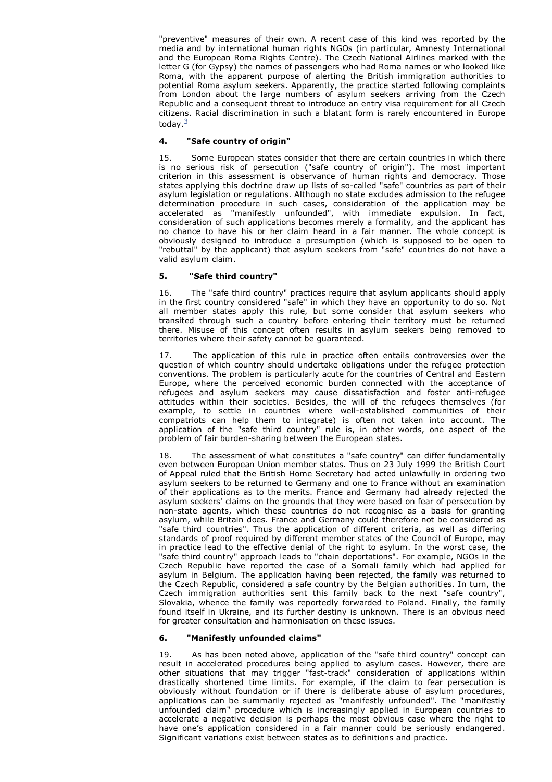"preventive" measures of their own. A recent case of this kind was reported by the media and by international human rights NGOs (in particular, Amnesty International and the European Roma Rights Centre). The Czech National Airlines marked with the letter G (for Gypsy) the names of passengers who had Roma names or who looked like Roma, with the apparent purpose of alerting the British immigration authorities to potential Roma asylum seekers. Apparently, the practice started following complaints from London about the large numbers of asylum seekers arriving from the Czech Republic and a consequent threat to introduce an entry visa requirement for all Czech citizens. Racial discrimination in such a blatant form is rarely encountered in Europe today.<sup>3</sup>

# **4. "Safe country of origin"**

15. Some European states consider that there are certain countries in which there is no serious risk of persecution ("safe country of origin"). The most important criterion in this assessment is observance of human rights and democracy. Those states applying this doctrine draw up lists of so-called "safe" countries as part of their asylum legislation or regulations. Although no state excludes admission to the refugee determination procedure in such cases, consideration of the application may be accelerated as "manifestly unfounded", with immediate expulsion. In fact, consideration of such applications becomes merely a formality, and the applicant has no chance to have his or her claim heard in a fair manner. The whole concept is obviously designed to introduce a presumption (which is supposed to be open to "rebuttal" by the applicant) that asylum seekers from "safe" countries do not have a valid asylum claim.

# **5. "Safe third country"**

16. The "safe third country" practices require that asylum applicants should apply in the first country considered "safe" in which they have an opportunity to do so. Not all member states apply this rule, but some consider that asylum seekers who transited through such a country before entering their territory must be returned there. Misuse of this concept often results in asylum seekers being removed to territories where their safety cannot be guaranteed.

17. The application of this rule in practice often entails controversies over the question of which country should undertake obligations under the refugee protection conventions. The problem is particularly acute for the countries of Central and Eastern Europe, where the perceived economic burden connected with the acceptance of refugees and asylum seekers may cause dissatisfaction and foster anti-refugee attitudes within their societies. Besides, the will of the refugees themselves (for example, to settle in countries where well-established communities of their compatriots can help them to integrate) is often not taken into account. The application of the "safe third country" rule is, in other words, one aspect of the problem of fair burden-sharing between the European states.

18. The assessment of what constitutes a "safe country" can differ fundamentally even between European Union member states. Thus on 23 July 1999 the British Court of Appeal ruled that the British Home Secretary had acted unlawfully in ordering two asylum seekers to be returned to Germany and one to France without an examination of their applications as to the merits. France and Germany had already rejected the asylum seekers' claims on the grounds that they were based on fear of persecution by non-state agents, which these countries do not recognise as a basis for granting asylum, while Britain does. France and Germany could therefore not be considered as "safe third countries". Thus the application of different criteria, as well as differing standards of proof required by different member states of the Council of Europe, may in practice lead to the effective denial of the right to asylum. In the worst case, the "safe third country" approach leads to "chain deportations". For example, NGOs in the Czech Republic have reported the case of a Somali family which had applied for asylum in Belgium. The application having been rejected, the family was returned to the Czech Republic, considered a safe country by the Belgian authorities. In turn, the Czech immigration authorities sent this family back to the next "safe country", Slovakia, whence the family was reportedly forwarded to Poland. Finally, the family found itself in Ukraine, and its further destiny is unknown. There is an obvious need for greater consultation and harmonisation on these issues.

# **6. "Manifestly unfounded claims"**

19. As has been noted above, application of the "safe third country" concept can result in accelerated procedures being applied to asylum cases. However, there are other situations that may trigger "fast-track" consideration of applications within drastically shortened time limits. For example, if the claim to fear persecution is obviously without foundation or if there is deliberate abuse of asylum procedures, applications can be summarily rejected as "manifestly unfounded". The "manifestly unfounded claim" procedure which is increasingly applied in European countries to accelerate a negative decision is perhaps the most obvious case where the right to have one's application considered in a fair manner could be seriously endangered. Significant variations exist between states as to definitions and practice.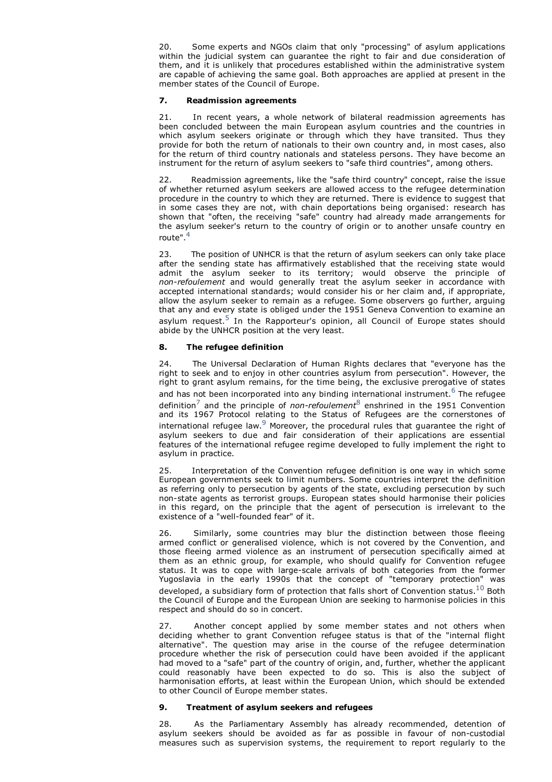20. Some experts and NGOs claim that only "processing" of asylum applications within the judicial system can guarantee the right to fair and due consideration of them, and it is unlikely that procedures established within the administrative system are capable of achieving the same goal. Both approaches are applied at present in the member states of the Council of Europe.

# **7. Readmission agreements**

21. In recent years, a whole network of bilateral readmission agreements has been concluded between the main European asylum countries and the countries in which asylum seekers originate or through which they have transited. Thus they provide for both the return of nationals to their own country and, in most cases, also for the return of third country nationals and stateless persons. They have become an instrument for the return of asylum seekers to "safe third countries", among others.

22. Readmission agreements, like the "safe third country" concept, raise the issue of whether returned asylum seekers are allowed access to the refugee determination procedure in the country to which they are returned. There is evidence to suggest that in some cases they are not, with chain deportations being organised: research has shown that "often, the receiving "safe" country had already made arrangements for the asylum seeker's return to the country of origin or to another unsafe country en route".<sup>4</sup>

23. The position of UNHCR is that the return of asylum seekers can only take place after the sending state has affirmatively established that the receiving state would admit the asylum seeker to its territory; would observe the principle of *non-refoulement* and would generally treat the asylum seeker in accordance with accepted international standards; would consider his or her claim and, if appropriate, allow the asylum seeker to remain as a refugee. Some observers go further, arguing that any and every state is obliged under the 1951 Geneva Convention to examine an asylum request.<sup>5</sup> In the Rapporteur's opinion, all Council of Europe states should abide by the UNHCR position at the very least.

## **8. The refugee definition**

24. The Universal Declaration of Human Rights declares that "everyone has the right to seek and to enjoy in other countries asylum from persecution". However, the right to grant asylum remains, for the time being, the exclusive prerogative of states and has not been incorporated into any binding international instrument.  $^6$  The refugee definition<sup>7</sup> and the principle of *non-refoulement*8 enshrined in the 1951 Convention and its 1967 Protocol relating to the Status of Refugees are the cornerstones of international refugee law. $^9$  Moreover, the procedural rules that guarantee the right of asylum seekers to due and fair consideration of their applications are essential features of the international refugee regime developed to fully implement the right to asylum in practice.

25. Interpretation of the Convention refugee definition is one way in which some European governments seek to limit numbers. Some countries interpret the definition as referring only to persecution by agents of the state, excluding persecution by such non-state agents as terrorist groups. European states should harmonise their policies in this regard, on the principle that the agent of persecution is irrelevant to the existence of a "well-founded fear" of it.

26. Similarly, some countries may blur the distinction between those fleeing armed conflict or generalised violence, which is not covered by the Convention, and those fleeing armed violence as an instrument of persecution specifically aimed at them as an ethnic group, for example, who should qualify for Convention refugee status. It was to cope with large-scale arrivals of both categories from the former Yugoslavia in the early 1990s that the concept of "temporary protection" was developed, a subsidiary form of protection that falls short of Convention status. $^{10}$  Both the Council of Europe and the European Union are seeking to harmonise policies in this respect and should do so in concert.

27. Another concept applied by some member states and not others when deciding whether to grant Convention refugee status is that of the "internal flight alternative". The question may arise in the course of the refugee determination procedure whether the risk of persecution could have been avoided if the applicant had moved to a "safe" part of the country of origin, and, further, whether the applicant could reasonably have been expected to do so. This is also the subject of harmonisation efforts, at least within the European Union, which should be extended to other Council of Europe member states.

#### **9. Treatment of asylum seekers and refugees**

28. As the Parliamentary Assembly has already recommended, detention of asylum seekers should be avoided as far as possible in favour of non-custodial measures such as supervision systems, the requirement to report regularly to the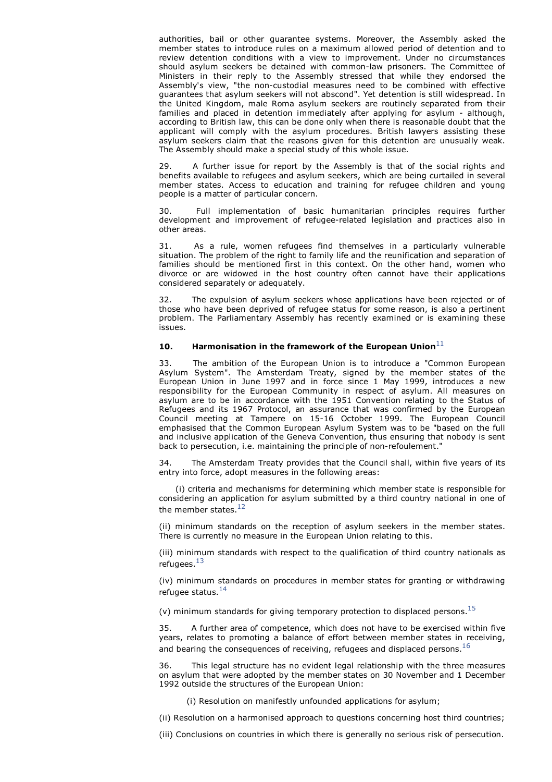authorities, bail or other guarantee systems. Moreover, the Assembly asked the member states to introduce rules on a maximum allowed period of detention and to review detention conditions with a view to improvement. Under no circumstances should asylum seekers be detained with common-law prisoners. The Committee of Ministers in their reply to the Assembly stressed that while they endorsed the Assembly's view, "the non-custodial measures need to be combined with effective guarantees that asylum seekers will not abscond". Yet detention is still widespread. In the United Kingdom, male Roma asylum seekers are routinely separated from their families and placed in detention immediately after applying for asylum - although, according to British law, this can be done only when there is reasonable doubt that the applicant will comply with the asylum procedures. British lawyers assisting these asylum seekers claim that the reasons given for this detention are unusually weak. The Assembly should make a special study of this whole issue.

A further issue for report by the Assembly is that of the social rights and benefits available to refugees and asylum seekers, which are being curtailed in several member states. Access to education and training for refugee children and young people is a matter of particular concern.

30. Full implementation of basic humanitarian principles requires further development and improvement of refugee-related legislation and practices also in other areas.

31. As a rule, women refugees find themselves in a particularly vulnerable situation. The problem of the right to family life and the reunification and separation of families should be mentioned first in this context. On the other hand, women who divorce or are widowed in the host country often cannot have their applications considered separately or adequately.

32. The expulsion of asylum seekers whose applications have been rejected or of those who have been deprived of refugee status for some reason, is also a pertinent problem. The Parliamentary Assembly has recently examined or is examining these issues.

#### **10.** Harmonisation in the framework of the European Union<sup>11</sup>

33. The ambition of the European Union is to introduce a "Common European Asylum System". The Amsterdam Treaty, signed by the member states of the European Union in June 1997 and in force since 1 May 1999, introduces a new responsibility for the European Community in respect of asylum. All measures on asylum are to be in accordance with the 1951 Convention relating to the Status of Refugees and its 1967 Protocol, an assurance that was confirmed by the European Council meeting at Tampere on 15-16 October 1999. The European Council emphasised that the Common European Asylum System was to be "based on the full and inclusive application of the Geneva Convention, thus ensuring that nobody is sent back to persecution, i.e. maintaining the principle of non-refoulement."

34. The Amsterdam Treaty provides that the Council shall, within five years of its entry into force, adopt measures in the following areas:

 (i) criteria and mechanisms for determining which member state is responsible for considering an application for asylum submitted by a third country national in one of the member states  $12$ 

(ii) minimum standards on the reception of asylum seekers in the member states. There is currently no measure in the European Union relating to this.

(iii) minimum standards with respect to the qualification of third country nationals as refugees. $^{13}$ 

(iv) minimum standards on procedures in member states for granting or withdrawing refugee status. $^{14}$ 

(v) minimum standards for giving temporary protection to displaced persons.<sup>15</sup>

35. A further area of competence, which does not have to be exercised within five years, relates to promoting a balance of effort between member states in receiving, and bearing the consequences of receiving, refugees and displaced persons. $^{16}$ 

36. This legal structure has no evident legal relationship with the three measures on asylum that were adopted by the member states on 30 November and 1 December 1992 outside the structures of the European Union:

(i) Resolution on manifestly unfounded applications for asylum;

(ii) Resolution on a harmonised approach to questions concerning host third countries;

(iii) Conclusions on countries in which there is generally no serious risk of persecution.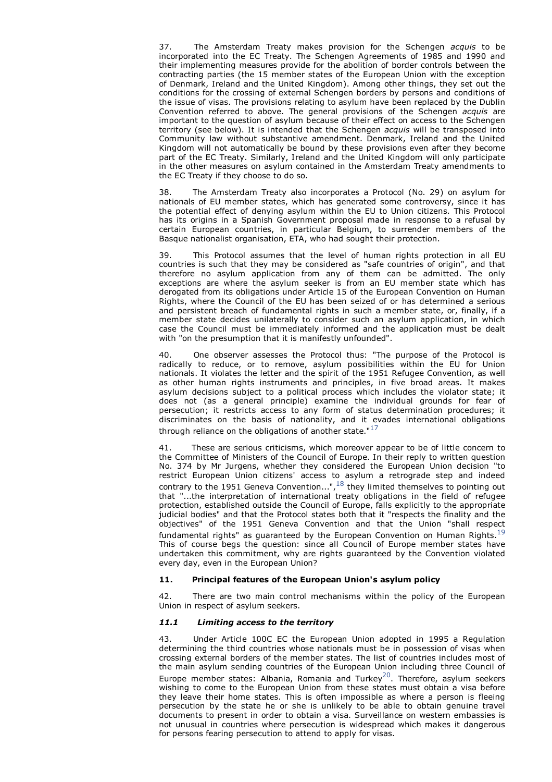37. The Amsterdam Treaty makes provision for the Schengen *acquis* to be incorporated into the EC Treaty. The Schengen Agreements of 1985 and 1990 and their implementing measures provide for the abolition of border controls between the contracting parties (the 15 member states of the European Union with the exception of Denmark, Ireland and the United Kingdom). Among other things, they set out the conditions for the crossing of external Schengen borders by persons and conditions of the issue of visas. The provisions relating to asylum have been replaced by the Dublin Convention referred to above. The general provisions of the Schengen *acquis* are important to the question of asylum because of their effect on access to the Schengen territory (see below). It is intended that the Schengen *acquis* will be transposed into Community law without substantive amendment. Denmark, Ireland and the United Kingdom will not automatically be bound by these provisions even after they become part of the EC Treaty. Similarly, Ireland and the United Kingdom will only participate in the other measures on asylum contained in the Amsterdam Treaty amendments to the EC Treaty if they choose to do so.

38. The Amsterdam Treaty also incorporates a Protocol (No. 29) on asylum for nationals of EU member states, which has generated some controversy, since it has the potential effect of denying asylum within the EU to Union citizens. This Protocol has its origins in a Spanish Government proposal made in response to a refusal by certain European countries, in particular Belgium, to surrender members of the Basque nationalist organisation, ETA, who had sought their protection.

39. This Protocol assumes that the level of human rights protection in all EU countries is such that they may be considered as "safe countries of origin", and that therefore no asylum application from any of them can be admitted. The only exceptions are where the asylum seeker is from an EU member state which has derogated from its obligations under Article 15 of the European Convention on Human Rights, where the Council of the EU has been seized of or has determined a serious and persistent breach of fundamental rights in such a member state, or, finally, if a member state decides unilaterally to consider such an asylum application, in which case the Council must be immediately informed and the application must be dealt with "on the presumption that it is manifestly unfounded".

40. One observer assesses the Protocol thus: "The purpose of the Protocol is radically to reduce, or to remove, asylum possibilities within the EU for Union nationals. It violates the letter and the spirit of the 1951 Refugee Convention, as well as other human rights instruments and principles, in five broad areas. It makes asylum decisions subject to a political process which includes the violator state; it does not (as a general principle) examine the individual grounds for fear of persecution; it restricts access to any form of status determination procedures; it discriminates on the basis of nationality, and it evades international obligations through reliance on the obligations of another state." $17$ 

41. These are serious criticisms, which moreover appear to be of little concern to the Committee of Ministers of the Council of Europe. In their reply to written question No. 374 by Mr Jurgens, whether they considered the European Union decision "to restrict European Union citizens' access to asylum a retrograde step and indeed contrary to the 1951 Geneva Convention...",  $^{18}$  they limited themselves to pointing out that "...the interpretation of international treaty obligations in the field of refugee protection, established outside the Council of Europe, falls explicitly to the appropriate judicial bodies" and that the Protocol states both that it "respects the finality and the objectives" of the 1951 Geneva Convention and that the Union "shall respect fundamental rights" as guaranteed by the European Convention on Human Rights. $^{19}$ This of course begs the question: since all Council of Europe member states have undertaken this commitment, why are rights guaranteed by the Convention violated every day, even in the European Union?

#### **11. Principal features of the European Union's asylum policy**

42. There are two main control mechanisms within the policy of the European Union in respect of asylum seekers.

#### *11.1 Limiting access to the territory*

43. Under Article 100C EC the European Union adopted in 1995 a Regulation determining the third countries whose nationals must be in possession of visas when crossing external borders of the member states. The list of countries includes most of the main asylum sending countries of the European Union including three Council of Europe member states: Albania, Romania and Turkey<sup>20</sup>. Therefore, asylum seekers wishing to come to the European Union from these states must obtain a visa before they leave their home states. This is often impossible as where a person is fleeing persecution by the state he or she is unlikely to be able to obtain genuine travel documents to present in order to obtain a visa. Surveillance on western embassies is not unusual in countries where persecution is widespread which makes it dangerous for persons fearing persecution to attend to apply for visas.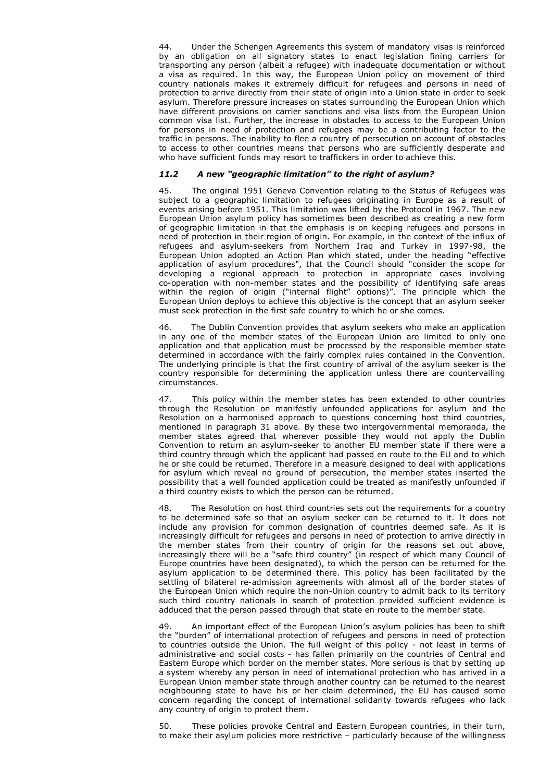44. Under the Schengen Agreements this system of mandatory visas is reinforced by an obligation on all signatory states to enact legislation fining carriers for transporting any person (albeit a refugee) with inadequate documentation or without a visa as required. In this way, the European Union policy on movement of third country nationals makes it extremely difficult for refugees and persons in need of protection to arrive directly from their state of origin into a Union state in order to seek asylum. Therefore pressure increases on states surrounding the European Union which have different provisions on carrier sanctions and visa lists from the European Union common visa list. Further, the increase in obstacles to access to the European Union for persons in need of protection and refugees may be a contributing factor to the traffic in persons. The inability to flee a country of persecution on account of obstacles to access to other countries means that persons who are sufficiently desperate and who have sufficient funds may resort to traffickers in order to achieve this.

## *11.2 A new "geographic limitation" to the right of asylum?*

45. The original 1951 Geneva Convention relating to the Status of Refugees was subject to a geographic limitation to refugees originating in Europe as a result of events arising before 1951. This limitation was lifted by the Protocol in 1967. The new European Union asylum policy has sometimes been described as creating a new form of geographic limitation in that the emphasis is on keeping refugees and persons in need of protection in their region of origin. For example, in the context of the influx of refugees and asylum-seekers from Northern Iraq and Turkey in 1997-98, the European Union adopted an Action Plan which stated, under the heading "effective application of asylum procedures", that the Council should "consider the scope for developing a regional approach to protection in appropriate cases involving co-operation with non-member states and the possibility of identifying safe areas within the region of origin ("internal flight" options)". The principle which the European Union deploys to achieve this objective is the concept that an asylum seeker must seek protection in the first safe country to which he or she comes.

46. The Dublin Convention provides that asylum seekers who make an application in any one of the member states of the European Union are limited to only one application and that application must be processed by the responsible member state determined in accordance with the fairly complex rules contained in the Convention. The underlying principle is that the first country of arrival of the asylum seeker is the country responsible for determining the application unless there are countervailing circumstances.

47. This policy within the member states has been extended to other countries through the Resolution on manifestly unfounded applications for asylum and the Resolution on a harmonised approach to questions concerning host third countries, mentioned in paragraph 31 above. By these two intergovernmental memoranda, the member states agreed that wherever possible they would not apply the Dublin Convention to return an asylum-seeker to another EU member state if there were a third country through which the applicant had passed en route to the EU and to which he or she could be returned. Therefore in a measure designed to deal with applications for asylum which reveal no ground of persecution, the member states inserted the possibility that a well founded application could be treated as manifestly unfounded if a third country exists to which the person can be returned.

48. The Resolution on host third countries sets out the requirements for a country to be determined safe so that an asylum seeker can be returned to it. It does not include any provision for common designation of countries deemed safe. As it is increasingly difficult for refugees and persons in need of protection to arrive directly in the member states from their country of origin for the reasons set out above, increasingly there will be a "safe third country" (in respect of which many Council of Europe countries have been designated), to which the person can be returned for the asylum application to be determined there. This policy has been facilitated by the settling of bilateral re-admission agreements with almost all of the border states of the European Union which require the non-Union country to admit back to its territory such third country nationals in search of protection provided sufficient evidence is adduced that the person passed through that state en route to the member state.

49. An important effect of the European Union's asylum policies has been to shift the "burden" of international protection of refugees and persons in need of protection to countries outside the Union. The full weight of this policy - not least in terms of administrative and social costs - has fallen primarily on the countries of Central and Eastern Europe which border on the member states. More serious is that by setting up a system whereby any person in need of international protection who has arrived in a European Union member state through another country can be returned to the nearest neighbouring state to have his or her claim determined, the EU has caused some concern regarding the concept of international solidarity towards refugees who lack any country of origin to protect them.

50. These policies provoke Central and Eastern European countries, in their turn, to make their asylum policies more restrictive – particularly because of the willingness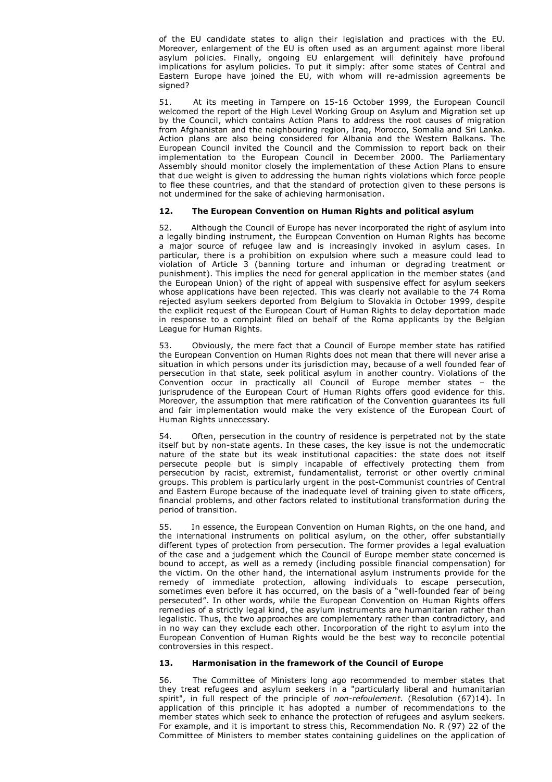of the EU candidate states to align their legislation and practices with the EU. Moreover, enlargement of the EU is often used as an argument against more liberal asylum policies. Finally, ongoing EU enlargement will definitely have profound implications for asylum policies. To put it simply: after some states of Central and Eastern Europe have joined the EU, with whom will re-admission agreements be signed?

51. At its meeting in Tampere on 15-16 October 1999, the European Council welcomed the report of the High Level Working Group on Asylum and Migration set up by the Council, which contains Action Plans to address the root causes of migration from Afghanistan and the neighbouring region, Iraq, Morocco, Somalia and Sri Lanka. Action plans are also being considered for Albania and the Western Balkans. The European Council invited the Council and the Commission to report back on their implementation to the European Council in December 2000. The Parliamentary Assembly should monitor closely the implementation of these Action Plans to ensure that due weight is given to addressing the human rights violations which force people to flee these countries, and that the standard of protection given to these persons is not undermined for the sake of achieving harmonisation.

## **12. The European Convention on Human Rights and political asylum**

52. Although the Council of Europe has never incorporated the right of asylum into a legally binding instrument, the European Convention on Human Rights has become a major source of refugee law and is increasingly invoked in asylum cases. In particular, there is a prohibition on expulsion where such a measure could lead to violation of Article 3 (banning torture and inhuman or degrading treatment or punishment). This implies the need for general application in the member states (and the European Union) of the right of appeal with suspensive effect for asylum seekers whose applications have been rejected. This was clearly not available to the 74 Roma rejected asylum seekers deported from Belgium to Slovakia in October 1999, despite the explicit request of the European Court of Human Rights to delay deportation made in response to a complaint filed on behalf of the Roma applicants by the Belgian League for Human Rights.

53. Obviously, the mere fact that a Council of Europe member state has ratified the European Convention on Human Rights does not mean that there will never arise a situation in which persons under its jurisdiction may, because of a well founded fear of persecution in that state, seek political asylum in another country. Violations of the Convention occur in practically all Council of Europe member states – the jurisprudence of the European Court of Human Rights offers good evidence for this. Moreover, the assumption that mere ratification of the Convention guarantees its full and fair implementation would make the very existence of the European Court of Human Rights unnecessary.

54. Often, persecution in the country of residence is perpetrated not by the state itself but by non-state agents. In these cases, the key issue is not the undemocratic nature of the state but its weak institutional capacities: the state does not itself persecute people but is simply incapable of effectively protecting them from persecution by racist, extremist, fundamentalist, terrorist or other overtly criminal groups. This problem is particularly urgent in the post-Communist countries of Central and Eastern Europe because of the inadequate level of training given to state officers, financial problems, and other factors related to institutional transformation during the period of transition.

55. In essence, the European Convention on Human Rights, on the one hand, and the international instruments on political asylum, on the other, offer substantially different types of protection from persecution. The former provides a legal evaluation of the case and a judgement which the Council of Europe member state concerned is bound to accept, as well as a remedy (including possible financial compensation) for the victim. On the other hand, the international asylum instruments provide for the remedy of immediate protection, allowing individuals to escape persecution, sometimes even before it has occurred, on the basis of a "well-founded fear of being persecuted". In other words, while the European Convention on Human Rights offers remedies of a strictly legal kind, the asylum instruments are humanitarian rather than legalistic. Thus, the two approaches are complementary rather than contradictory, and in no way can they exclude each other. Incorporation of the right to asylum into the European Convention of Human Rights would be the best way to reconcile potential controversies in this respect.

## **13. Harmonisation in the framework of the Council of Europe**

56. The Committee of Ministers long ago recommended to member states that they treat refugees and asylum seekers in a "particularly liberal and humanitarian spirit", in full respect of the principle of *non-refoulement*. (Resolution (67)14). In application of this principle it has adopted a number of recommendations to the member states which seek to enhance the protection of refugees and asylum seekers. For example, and it is important to stress this, Recommendation No. R (97) 22 of the Committee of Ministers to member states containing guidelines on the application of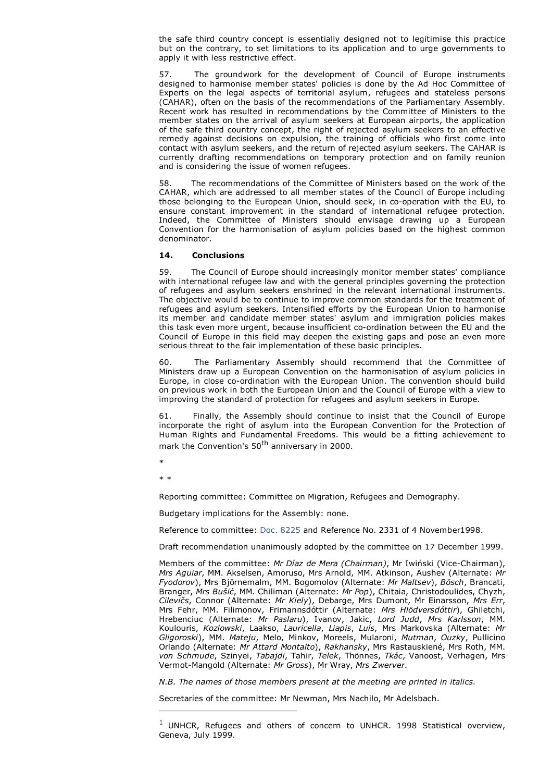the safe third country concept is essentially designed not to legitimise this practice but on the contrary, to set limitations to its application and to urge governments to apply it with less restrictive effect.

57. The groundwork for the development of Council of Europe instruments designed to harmonise member states' policies is done by the Ad Hoc Committee of Experts on the legal aspects of territorial asylum, refugees and stateless persons (CAHAR), often on the basis of the recommendations of the Parliamentary Assembly. Recent work has resulted in recommendations by the Committee of Ministers to the member states on the arrival of asylum seekers at European airports, the application of the safe third country concept, the right of rejected asylum seekers to an effective remedy against decisions on expulsion, the training of officials who first come into contact with asylum seekers, and the return of rejected asylum seekers. The CAHAR is currently drafting recommendations on temporary protection and on family reunion and is considering the issue of women refugees.

58. The recommendations of the Committee of Ministers based on the work of the CAHAR, which are addressed to all member states of the Council of Europe including those belonging to the European Union, should seek, in co-operation with the EU, to ensure constant improvement in the standard of international refugee protection. Indeed, the Committee of Ministers should envisage drawing up a European Convention for the harmonisation of asylum policies based on the highest common denominator.

## **14. Conclusions**

59. The Council of Europe should increasingly monitor member states' compliance with international refugee law and with the general principles governing the protection of refugees and asylum seekers enshrined in the relevant international instruments. The objective would be to continue to improve common standards for the treatment of refugees and asylum seekers. Intensified efforts by the European Union to harmonise its member and candidate member states' asylum and immigration policies makes this task even more urgent, because insufficient co-ordination between the EU and the Council of Europe in this field may deepen the existing gaps and pose an even more serious threat to the fair implementation of these basic principles.

60. The Parliamentary Assembly should recommend that the Committee of Ministers draw up a European Convention on the harmonisation of asylum policies in Europe, in close co-ordination with the European Union. The convention should build on previous work in both the European Union and the Council of Europe with a view to improving the standard of protection for refugees and asylum seekers in Europe.

61. Finally, the Assembly should continue to insist that the Council of Europe incorporate the right of asylum into the European Convention for the Protection of Human Rights and Fundamental Freedoms. This would be a fitting achievement to mark the Convention's 50<sup>th</sup> anniversary in 2000.

\*

\* \*

Reporting committee: Committee on Migration, Refugees and Demography.

Budgetary implications for the Assembly: none.

Reference to committee: Doc. 8225 and Reference No. 2331 of 4 November1998.

Draft recommendation unanimously adopted by the committee on 17 December 1999.

Members of the committee: *Mr Díaz de Mera (Chairman)*, Mr Iwiński (Vice-Chairman), *Mrs Aguiar*, MM. Akselsen, Amoruso, Mrs Arnold, MM. Atkinson, Aushev (Alternate: *Mr Fyodorov*), Mrs Björnemalm, MM. Bogomolov (Alternate: *Mr Maltsev*), *Bösch*, Brancati, Branger, *Mrs Bušić*, MM. Chiliman (Alternate: *Mr Pop*), Chitaia, Christodoulides, Chyzh, *Cilevičs*, Connor (Alternate: *Mr Kiely*), Debarge, Mrs Dumont, Mr Einarsson, *Mrs Err*, Mrs Fehr, MM. Filimonov, Frimannsdóttir (Alternate: *Mrs Hlödversdóttir*), Ghiletchi, Hrebenciuc (Alternate: *Mr Paslaru*), Ivanov, Jakic, *Lord Judd*, *Mrs Karlsson*, MM. Koulouris, *Kozlowski*, Laakso, *Lauricella*, *Liapis*, *Luís*, Mrs Markovska (Alternate: *Mr Gligoroski*), MM. *Mateju*, Melo, Minkov, Moreels, Mularoni, *Mutman*, *Ouzky*, Pullicino Orlando (Alternate: *Mr Attard Montalto*), *Rakhansky*, Mrs Rastauskiené, Mrs Roth, MM. *von Schmude*, Szinyei, *Tabajdi*, Tahir, *Telek*, Thönnes, *Tkác*, Vanoost, Verhagen, Mrs Vermot-Mangold (Alternate: *Mr Gross*), Mr Wray, *Mrs Zwerver*.

*N.B. The names of those members present at the meeting are printed in italics.*

Secretaries of the committee: Mr Newman, Mrs Nachilo, Mr Adelsbach.

 $1$  UNHCR, Refugees and others of concern to UNHCR. 1998 Statistical overview, Geneva, July 1999.